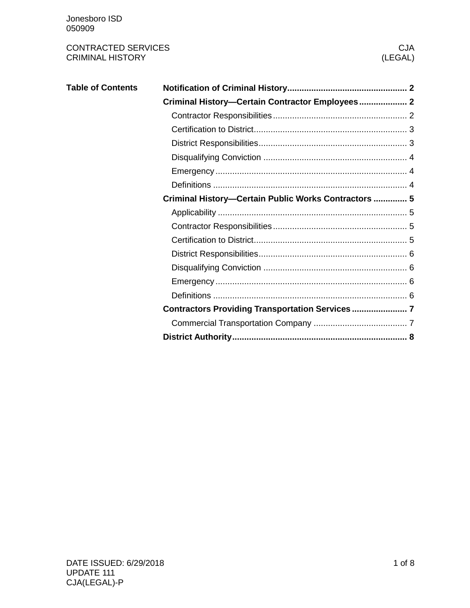| <b>Table of Contents</b> |                                                      |
|--------------------------|------------------------------------------------------|
|                          | Criminal History-Certain Contractor Employees 2      |
|                          |                                                      |
|                          |                                                      |
|                          |                                                      |
|                          |                                                      |
|                          |                                                      |
|                          |                                                      |
|                          | Criminal History-Certain Public Works Contractors  5 |
|                          |                                                      |
|                          |                                                      |
|                          |                                                      |
|                          |                                                      |
|                          |                                                      |
|                          |                                                      |
|                          |                                                      |
|                          | Contractors Providing Transportation Services  7     |
|                          |                                                      |
|                          |                                                      |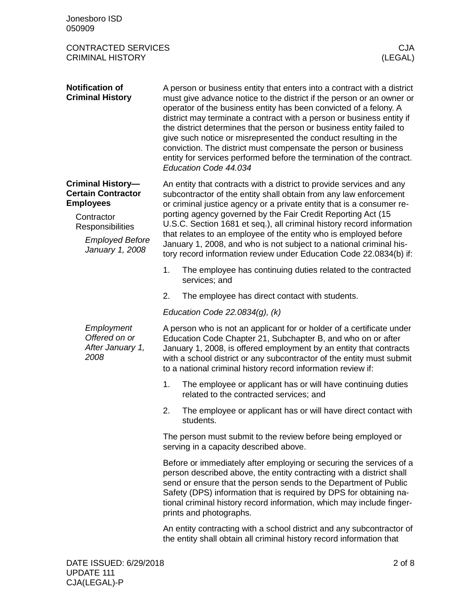<span id="page-1-2"></span><span id="page-1-1"></span><span id="page-1-0"></span>

| Jonesboro ISD<br>050909                                                                                                                                  |                                                                                                                                                                                                                                                                                                                                                                                                                                                                                                                                                                                                                |  |  |  |  |
|----------------------------------------------------------------------------------------------------------------------------------------------------------|----------------------------------------------------------------------------------------------------------------------------------------------------------------------------------------------------------------------------------------------------------------------------------------------------------------------------------------------------------------------------------------------------------------------------------------------------------------------------------------------------------------------------------------------------------------------------------------------------------------|--|--|--|--|
| <b>CONTRACTED SERVICES</b><br><b>CRIMINAL HISTORY</b>                                                                                                    | <b>CJA</b><br>(LEGAL)                                                                                                                                                                                                                                                                                                                                                                                                                                                                                                                                                                                          |  |  |  |  |
| <b>Notification of</b><br><b>Criminal History</b>                                                                                                        | A person or business entity that enters into a contract with a district<br>must give advance notice to the district if the person or an owner or<br>operator of the business entity has been convicted of a felony. A<br>district may terminate a contract with a person or business entity if<br>the district determines that the person or business entity failed to<br>give such notice or misrepresented the conduct resulting in the<br>conviction. The district must compensate the person or business<br>entity for services performed before the termination of the contract.<br>Education Code 44.034 |  |  |  |  |
| <b>Criminal History-</b><br><b>Certain Contractor</b><br><b>Employees</b><br>Contractor<br>Responsibilities<br><b>Employed Before</b><br>January 1, 2008 | An entity that contracts with a district to provide services and any<br>subcontractor of the entity shall obtain from any law enforcement<br>or criminal justice agency or a private entity that is a consumer re-<br>porting agency governed by the Fair Credit Reporting Act (15<br>U.S.C. Section 1681 et seq.), all criminal history record information<br>that relates to an employee of the entity who is employed before<br>January 1, 2008, and who is not subject to a national criminal his-<br>tory record information review under Education Code 22.0834(b) if:                                   |  |  |  |  |
|                                                                                                                                                          | 1.<br>The employee has continuing duties related to the contracted<br>services; and                                                                                                                                                                                                                                                                                                                                                                                                                                                                                                                            |  |  |  |  |
|                                                                                                                                                          | 2.<br>The employee has direct contact with students.                                                                                                                                                                                                                                                                                                                                                                                                                                                                                                                                                           |  |  |  |  |
|                                                                                                                                                          | Education Code 22.0834 $(g)$ , $(k)$                                                                                                                                                                                                                                                                                                                                                                                                                                                                                                                                                                           |  |  |  |  |
| Employment<br>Offered on or<br>After January 1,<br>2008                                                                                                  | A person who is not an applicant for or holder of a certificate under<br>Education Code Chapter 21, Subchapter B, and who on or after<br>January 1, 2008, is offered employment by an entity that contracts<br>with a school district or any subcontractor of the entity must submit<br>to a national criminal history record information review if:                                                                                                                                                                                                                                                           |  |  |  |  |
|                                                                                                                                                          | 1.<br>The employee or applicant has or will have continuing duties<br>related to the contracted services; and                                                                                                                                                                                                                                                                                                                                                                                                                                                                                                  |  |  |  |  |
|                                                                                                                                                          | 2.<br>The employee or applicant has or will have direct contact with<br>students.                                                                                                                                                                                                                                                                                                                                                                                                                                                                                                                              |  |  |  |  |
|                                                                                                                                                          | The person must submit to the review before being employed or<br>serving in a capacity described above.                                                                                                                                                                                                                                                                                                                                                                                                                                                                                                        |  |  |  |  |
|                                                                                                                                                          | Before or immediately after employing or securing the services of a<br>person described above, the entity contracting with a district shall<br>send or ensure that the person sends to the Department of Public<br>Safety (DPS) information that is required by DPS for obtaining na-<br>tional criminal history record information, which may include finger-<br>prints and photographs.                                                                                                                                                                                                                      |  |  |  |  |
|                                                                                                                                                          | An entity contracting with a school district and any subcontractor of<br>the entity shall obtain all criminal history record information that                                                                                                                                                                                                                                                                                                                                                                                                                                                                  |  |  |  |  |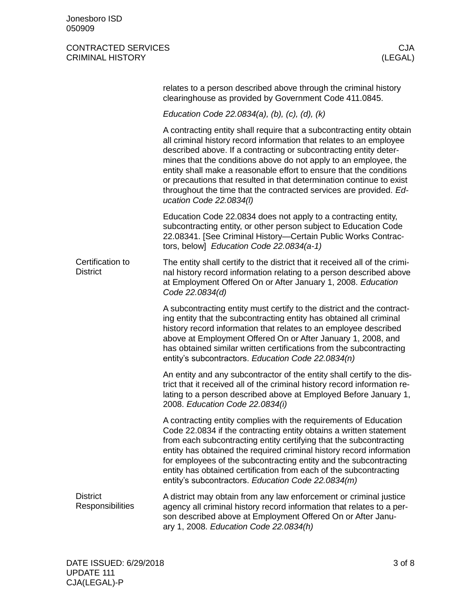<span id="page-2-1"></span><span id="page-2-0"></span>

|                                     | relates to a person described above through the criminal history<br>clearinghouse as provided by Government Code 411.0845.                                                                                                                                                                                                                                                                                                                                                                                                             |
|-------------------------------------|----------------------------------------------------------------------------------------------------------------------------------------------------------------------------------------------------------------------------------------------------------------------------------------------------------------------------------------------------------------------------------------------------------------------------------------------------------------------------------------------------------------------------------------|
|                                     | Education Code 22.0834(a), (b), (c), (d), (k)                                                                                                                                                                                                                                                                                                                                                                                                                                                                                          |
|                                     | A contracting entity shall require that a subcontracting entity obtain<br>all criminal history record information that relates to an employee<br>described above. If a contracting or subcontracting entity deter-<br>mines that the conditions above do not apply to an employee, the<br>entity shall make a reasonable effort to ensure that the conditions<br>or precautions that resulted in that determination continue to exist<br>throughout the time that the contracted services are provided. Ed-<br>ucation Code 22.0834(I) |
|                                     | Education Code 22.0834 does not apply to a contracting entity,<br>subcontracting entity, or other person subject to Education Code<br>22.08341. [See Criminal History-Certain Public Works Contrac-<br>tors, below] Education Code 22.0834(a-1)                                                                                                                                                                                                                                                                                        |
| Certification to<br><b>District</b> | The entity shall certify to the district that it received all of the crimi-<br>nal history record information relating to a person described above<br>at Employment Offered On or After January 1, 2008. Education<br>Code 22.0834(d)                                                                                                                                                                                                                                                                                                  |
|                                     | A subcontracting entity must certify to the district and the contract-<br>ing entity that the subcontracting entity has obtained all criminal<br>history record information that relates to an employee described<br>above at Employment Offered On or After January 1, 2008, and<br>has obtained similar written certifications from the subcontracting<br>entity's subcontractors. Education Code 22.0834(n)                                                                                                                         |
|                                     | An entity and any subcontractor of the entity shall certify to the dis-<br>trict that it received all of the criminal history record information re-<br>lating to a person described above at Employed Before January 1,<br>2008. Education Code 22.0834(i)                                                                                                                                                                                                                                                                            |
|                                     | A contracting entity complies with the requirements of Education<br>Code 22.0834 if the contracting entity obtains a written statement<br>from each subcontracting entity certifying that the subcontracting<br>entity has obtained the required criminal history record information<br>for employees of the subcontracting entity and the subcontracting<br>entity has obtained certification from each of the subcontracting<br>entity's subcontractors. Education Code 22.0834(m)                                                   |
| <b>District</b><br>Responsibilities | A district may obtain from any law enforcement or criminal justice<br>agency all criminal history record information that relates to a per-<br>son described above at Employment Offered On or After Janu-<br>ary 1, 2008. Education Code 22.0834(h)                                                                                                                                                                                                                                                                                   |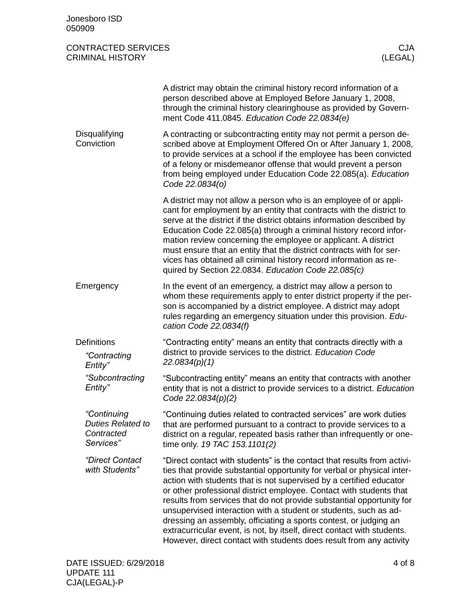<span id="page-3-2"></span><span id="page-3-1"></span><span id="page-3-0"></span>

| Jonesboro ISD<br>050909                                            |                                                                                                                                                                                                                                                                                                                                                                                                                                                                                                                                                                                                                                                                      |
|--------------------------------------------------------------------|----------------------------------------------------------------------------------------------------------------------------------------------------------------------------------------------------------------------------------------------------------------------------------------------------------------------------------------------------------------------------------------------------------------------------------------------------------------------------------------------------------------------------------------------------------------------------------------------------------------------------------------------------------------------|
| <b>CONTRACTED SERVICES</b><br><b>CRIMINAL HISTORY</b>              | <b>CJA</b><br>(LEGAL)                                                                                                                                                                                                                                                                                                                                                                                                                                                                                                                                                                                                                                                |
|                                                                    | A district may obtain the criminal history record information of a<br>person described above at Employed Before January 1, 2008,<br>through the criminal history clearinghouse as provided by Govern-<br>ment Code 411.0845. Education Code 22.0834(e)                                                                                                                                                                                                                                                                                                                                                                                                               |
| Disqualifying<br>Conviction                                        | A contracting or subcontracting entity may not permit a person de-<br>scribed above at Employment Offered On or After January 1, 2008,<br>to provide services at a school if the employee has been convicted<br>of a felony or misdemeanor offense that would prevent a person<br>from being employed under Education Code 22.085(a). Education<br>Code 22.0834(o)                                                                                                                                                                                                                                                                                                   |
|                                                                    | A district may not allow a person who is an employee of or appli-<br>cant for employment by an entity that contracts with the district to<br>serve at the district if the district obtains information described by<br>Education Code 22.085(a) through a criminal history record infor-<br>mation review concerning the employee or applicant. A district<br>must ensure that an entity that the district contracts with for ser-<br>vices has obtained all criminal history record information as re-<br>quired by Section 22.0834. Education Code 22.085(c)                                                                                                       |
| Emergency                                                          | In the event of an emergency, a district may allow a person to<br>whom these requirements apply to enter district property if the per-<br>son is accompanied by a district employee. A district may adopt<br>rules regarding an emergency situation under this provision. Edu-<br>cation Code 22.0834(f)                                                                                                                                                                                                                                                                                                                                                             |
| <b>Definitions</b><br>"Contracting<br>Entity"                      | "Contracting entity" means an entity that contracts directly with a<br>district to provide services to the district. Education Code<br>22.0834(p)(1)                                                                                                                                                                                                                                                                                                                                                                                                                                                                                                                 |
| "Subcontracting<br>Entity"                                         | "Subcontracting entity" means an entity that contracts with another<br>entity that is not a district to provide services to a district. Education<br>Code 22.0834(p)(2)                                                                                                                                                                                                                                                                                                                                                                                                                                                                                              |
| "Continuing<br><b>Duties Related to</b><br>Contracted<br>Services" | "Continuing duties related to contracted services" are work duties<br>that are performed pursuant to a contract to provide services to a<br>district on a regular, repeated basis rather than infrequently or one-<br>time only. 19 TAC 153.1101(2)                                                                                                                                                                                                                                                                                                                                                                                                                  |
| "Direct Contact<br>with Students"                                  | "Direct contact with students" is the contact that results from activi-<br>ties that provide substantial opportunity for verbal or physical inter-<br>action with students that is not supervised by a certified educator<br>or other professional district employee. Contact with students that<br>results from services that do not provide substantial opportunity for<br>unsupervised interaction with a student or students, such as ad-<br>dressing an assembly, officiating a sports contest, or judging an<br>extracurricular event, is not, by itself, direct contact with students.<br>However, direct contact with students does result from any activity |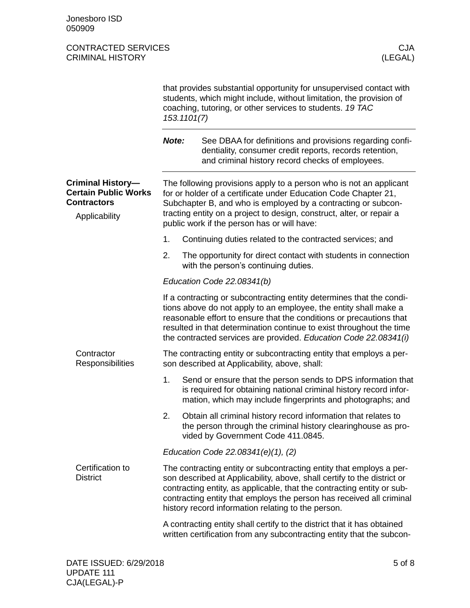<span id="page-4-3"></span><span id="page-4-2"></span><span id="page-4-1"></span><span id="page-4-0"></span>

|                                                                                                | that provides substantial opportunity for unsupervised contact with<br>students, which might include, without limitation, the provision of<br>coaching, tutoring, or other services to students. 19 TAC<br>153.1101(7)                                                                                                                                 |                                                                                                                                                                                                                                                                                                                                |                                                                                                                                                                                                                                                                                                                                                             |  |
|------------------------------------------------------------------------------------------------|--------------------------------------------------------------------------------------------------------------------------------------------------------------------------------------------------------------------------------------------------------------------------------------------------------------------------------------------------------|--------------------------------------------------------------------------------------------------------------------------------------------------------------------------------------------------------------------------------------------------------------------------------------------------------------------------------|-------------------------------------------------------------------------------------------------------------------------------------------------------------------------------------------------------------------------------------------------------------------------------------------------------------------------------------------------------------|--|
|                                                                                                | Note:                                                                                                                                                                                                                                                                                                                                                  |                                                                                                                                                                                                                                                                                                                                | See DBAA for definitions and provisions regarding confi-<br>dentiality, consumer credit reports, records retention,<br>and criminal history record checks of employees.                                                                                                                                                                                     |  |
| <b>Criminal History-</b><br><b>Certain Public Works</b><br><b>Contractors</b><br>Applicability |                                                                                                                                                                                                                                                                                                                                                        | The following provisions apply to a person who is not an applicant<br>for or holder of a certificate under Education Code Chapter 21,<br>Subchapter B, and who is employed by a contracting or subcon-<br>tracting entity on a project to design, construct, alter, or repair a<br>public work if the person has or will have: |                                                                                                                                                                                                                                                                                                                                                             |  |
|                                                                                                | 1.                                                                                                                                                                                                                                                                                                                                                     |                                                                                                                                                                                                                                                                                                                                | Continuing duties related to the contracted services; and                                                                                                                                                                                                                                                                                                   |  |
|                                                                                                | 2.                                                                                                                                                                                                                                                                                                                                                     |                                                                                                                                                                                                                                                                                                                                | The opportunity for direct contact with students in connection<br>with the person's continuing duties.                                                                                                                                                                                                                                                      |  |
|                                                                                                |                                                                                                                                                                                                                                                                                                                                                        |                                                                                                                                                                                                                                                                                                                                | Education Code 22.08341(b)                                                                                                                                                                                                                                                                                                                                  |  |
|                                                                                                |                                                                                                                                                                                                                                                                                                                                                        |                                                                                                                                                                                                                                                                                                                                | If a contracting or subcontracting entity determines that the condi-<br>tions above do not apply to an employee, the entity shall make a<br>reasonable effort to ensure that the conditions or precautions that<br>resulted in that determination continue to exist throughout the time<br>the contracted services are provided. Education Code 22.08341(i) |  |
| Contractor<br>Responsibilities                                                                 |                                                                                                                                                                                                                                                                                                                                                        |                                                                                                                                                                                                                                                                                                                                | The contracting entity or subcontracting entity that employs a per-<br>son described at Applicability, above, shall:                                                                                                                                                                                                                                        |  |
|                                                                                                | 1.                                                                                                                                                                                                                                                                                                                                                     |                                                                                                                                                                                                                                                                                                                                | Send or ensure that the person sends to DPS information that<br>is required for obtaining national criminal history record infor-<br>mation, which may include fingerprints and photographs; and                                                                                                                                                            |  |
|                                                                                                | 2.                                                                                                                                                                                                                                                                                                                                                     |                                                                                                                                                                                                                                                                                                                                | Obtain all criminal history record information that relates to<br>the person through the criminal history clearinghouse as pro-<br>vided by Government Code 411.0845.                                                                                                                                                                                       |  |
|                                                                                                |                                                                                                                                                                                                                                                                                                                                                        |                                                                                                                                                                                                                                                                                                                                | Education Code 22.08341(e)(1), (2)                                                                                                                                                                                                                                                                                                                          |  |
| Certification to<br><b>District</b>                                                            | The contracting entity or subcontracting entity that employs a per-<br>son described at Applicability, above, shall certify to the district or<br>contracting entity, as applicable, that the contracting entity or sub-<br>contracting entity that employs the person has received all criminal<br>history record information relating to the person. |                                                                                                                                                                                                                                                                                                                                |                                                                                                                                                                                                                                                                                                                                                             |  |
|                                                                                                |                                                                                                                                                                                                                                                                                                                                                        |                                                                                                                                                                                                                                                                                                                                | A contracting entity shall certify to the district that it has obtained<br>written certification from any subcontracting entity that the subcon-                                                                                                                                                                                                            |  |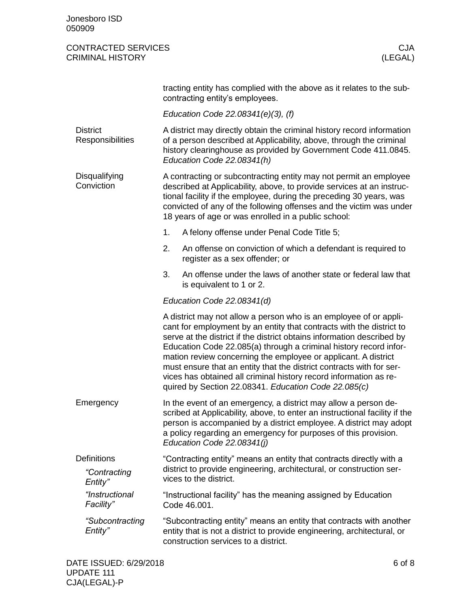<span id="page-5-3"></span><span id="page-5-2"></span><span id="page-5-1"></span><span id="page-5-0"></span>

|                                                                                                                                                                                                                      | tracting entity has complied with the above as it relates to the sub-<br>contracting entity's employees.                                                                                                                                                                                                                                                                                                                                                                                                                                                        |                                                                                                                                                                                                                                               |  |  |  |  |  |
|----------------------------------------------------------------------------------------------------------------------------------------------------------------------------------------------------------------------|-----------------------------------------------------------------------------------------------------------------------------------------------------------------------------------------------------------------------------------------------------------------------------------------------------------------------------------------------------------------------------------------------------------------------------------------------------------------------------------------------------------------------------------------------------------------|-----------------------------------------------------------------------------------------------------------------------------------------------------------------------------------------------------------------------------------------------|--|--|--|--|--|
|                                                                                                                                                                                                                      | Education Code 22.08341(e)(3), (f)                                                                                                                                                                                                                                                                                                                                                                                                                                                                                                                              |                                                                                                                                                                                                                                               |  |  |  |  |  |
| <b>District</b><br>Responsibilities                                                                                                                                                                                  |                                                                                                                                                                                                                                                                                                                                                                                                                                                                                                                                                                 | A district may directly obtain the criminal history record information<br>of a person described at Applicability, above, through the criminal<br>history clearinghouse as provided by Government Code 411.0845.<br>Education Code 22.08341(h) |  |  |  |  |  |
| Disqualifying<br>Conviction                                                                                                                                                                                          | A contracting or subcontracting entity may not permit an employee<br>described at Applicability, above, to provide services at an instruc-<br>tional facility if the employee, during the preceding 30 years, was<br>convicted of any of the following offenses and the victim was under<br>18 years of age or was enrolled in a public school:                                                                                                                                                                                                                 |                                                                                                                                                                                                                                               |  |  |  |  |  |
|                                                                                                                                                                                                                      | 1.                                                                                                                                                                                                                                                                                                                                                                                                                                                                                                                                                              | A felony offense under Penal Code Title 5;                                                                                                                                                                                                    |  |  |  |  |  |
|                                                                                                                                                                                                                      | 2.                                                                                                                                                                                                                                                                                                                                                                                                                                                                                                                                                              | An offense on conviction of which a defendant is required to<br>register as a sex offender; or                                                                                                                                                |  |  |  |  |  |
|                                                                                                                                                                                                                      | 3.                                                                                                                                                                                                                                                                                                                                                                                                                                                                                                                                                              | An offense under the laws of another state or federal law that<br>is equivalent to 1 or 2.                                                                                                                                                    |  |  |  |  |  |
|                                                                                                                                                                                                                      |                                                                                                                                                                                                                                                                                                                                                                                                                                                                                                                                                                 | Education Code 22.08341(d)                                                                                                                                                                                                                    |  |  |  |  |  |
|                                                                                                                                                                                                                      | A district may not allow a person who is an employee of or appli-<br>cant for employment by an entity that contracts with the district to<br>serve at the district if the district obtains information described by<br>Education Code 22.085(a) through a criminal history record infor-<br>mation review concerning the employee or applicant. A district<br>must ensure that an entity that the district contracts with for ser-<br>vices has obtained all criminal history record information as re-<br>quired by Section 22.08341. Education Code 22.085(c) |                                                                                                                                                                                                                                               |  |  |  |  |  |
| Emergency                                                                                                                                                                                                            | In the event of an emergency, a district may allow a person de-<br>scribed at Applicability, above, to enter an instructional facility if the<br>person is accompanied by a district employee. A district may adopt<br>a policy regarding an emergency for purposes of this provision.<br>Education Code 22.08341(i)                                                                                                                                                                                                                                            |                                                                                                                                                                                                                                               |  |  |  |  |  |
| <b>Definitions</b><br>"Contracting<br>Entity"                                                                                                                                                                        |                                                                                                                                                                                                                                                                                                                                                                                                                                                                                                                                                                 | "Contracting entity" means an entity that contracts directly with a<br>district to provide engineering, architectural, or construction ser-<br>vices to the district.                                                                         |  |  |  |  |  |
| "Instructional<br>Facility"                                                                                                                                                                                          | "Instructional facility" has the meaning assigned by Education<br>Code 46.001.                                                                                                                                                                                                                                                                                                                                                                                                                                                                                  |                                                                                                                                                                                                                                               |  |  |  |  |  |
| "Subcontracting<br>"Subcontracting entity" means an entity that contracts with another<br>Entity"<br>entity that is not a district to provide engineering, architectural, or<br>construction services to a district. |                                                                                                                                                                                                                                                                                                                                                                                                                                                                                                                                                                 |                                                                                                                                                                                                                                               |  |  |  |  |  |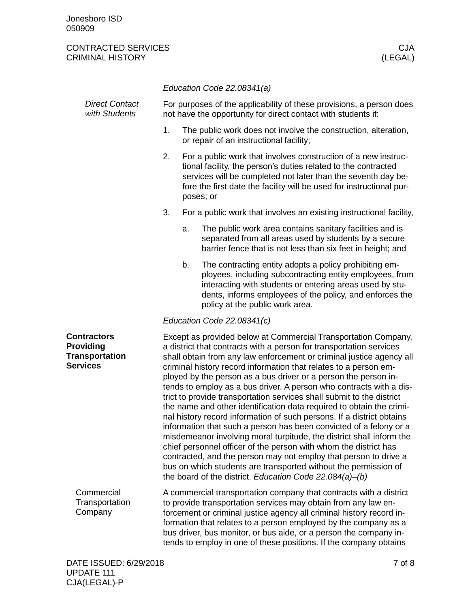<span id="page-6-1"></span><span id="page-6-0"></span>

|                                                                                    | Education Code 22.08341(a)                                                                                                                                                                                                                                                                                                                                                                                                                                                                                                                                                                                                                                                                                                                                                                                                                                                                                                                                                                                                                                                |    |                                                                                                                                                                                                                                                                                        |  |
|------------------------------------------------------------------------------------|---------------------------------------------------------------------------------------------------------------------------------------------------------------------------------------------------------------------------------------------------------------------------------------------------------------------------------------------------------------------------------------------------------------------------------------------------------------------------------------------------------------------------------------------------------------------------------------------------------------------------------------------------------------------------------------------------------------------------------------------------------------------------------------------------------------------------------------------------------------------------------------------------------------------------------------------------------------------------------------------------------------------------------------------------------------------------|----|----------------------------------------------------------------------------------------------------------------------------------------------------------------------------------------------------------------------------------------------------------------------------------------|--|
| <b>Direct Contact</b><br>with Students                                             | For purposes of the applicability of these provisions, a person does<br>not have the opportunity for direct contact with students if:                                                                                                                                                                                                                                                                                                                                                                                                                                                                                                                                                                                                                                                                                                                                                                                                                                                                                                                                     |    |                                                                                                                                                                                                                                                                                        |  |
|                                                                                    | 1.<br>or repair of an instructional facility;                                                                                                                                                                                                                                                                                                                                                                                                                                                                                                                                                                                                                                                                                                                                                                                                                                                                                                                                                                                                                             |    | The public work does not involve the construction, alteration,                                                                                                                                                                                                                         |  |
|                                                                                    | 2.                                                                                                                                                                                                                                                                                                                                                                                                                                                                                                                                                                                                                                                                                                                                                                                                                                                                                                                                                                                                                                                                        |    | For a public work that involves construction of a new instruc-<br>tional facility, the person's duties related to the contracted<br>services will be completed not later than the seventh day be-<br>fore the first date the facility will be used for instructional pur-<br>poses; or |  |
|                                                                                    | 3.                                                                                                                                                                                                                                                                                                                                                                                                                                                                                                                                                                                                                                                                                                                                                                                                                                                                                                                                                                                                                                                                        |    | For a public work that involves an existing instructional facility,                                                                                                                                                                                                                    |  |
|                                                                                    |                                                                                                                                                                                                                                                                                                                                                                                                                                                                                                                                                                                                                                                                                                                                                                                                                                                                                                                                                                                                                                                                           | a. | The public work area contains sanitary facilities and is<br>separated from all areas used by students by a secure<br>barrier fence that is not less than six feet in height; and                                                                                                       |  |
|                                                                                    |                                                                                                                                                                                                                                                                                                                                                                                                                                                                                                                                                                                                                                                                                                                                                                                                                                                                                                                                                                                                                                                                           | b. | The contracting entity adopts a policy prohibiting em-<br>ployees, including subcontracting entity employees, from<br>interacting with students or entering areas used by stu-<br>dents, informs employees of the policy, and enforces the<br>policy at the public work area.          |  |
|                                                                                    |                                                                                                                                                                                                                                                                                                                                                                                                                                                                                                                                                                                                                                                                                                                                                                                                                                                                                                                                                                                                                                                                           |    | Education Code 22.08341(c)                                                                                                                                                                                                                                                             |  |
| <b>Contractors</b><br><b>Providing</b><br><b>Transportation</b><br><b>Services</b> | Except as provided below at Commercial Transportation Company,<br>a district that contracts with a person for transportation services<br>shall obtain from any law enforcement or criminal justice agency all<br>criminal history record information that relates to a person em-<br>ployed by the person as a bus driver or a person the person in-<br>tends to employ as a bus driver. A person who contracts with a dis-<br>trict to provide transportation services shall submit to the district<br>the name and other identification data required to obtain the crimi-<br>nal history record information of such persons. If a district obtains<br>information that such a person has been convicted of a felony or a<br>misdemeanor involving moral turpitude, the district shall inform the<br>chief personnel officer of the person with whom the district has<br>contracted, and the person may not employ that person to drive a<br>bus on which students are transported without the permission of<br>the board of the district. Education Code 22.084(a)-(b) |    |                                                                                                                                                                                                                                                                                        |  |
| Commercial<br>Transportation<br>Company                                            | A commercial transportation company that contracts with a district<br>to provide transportation services may obtain from any law en-<br>forcement or criminal justice agency all criminal history record in-<br>formation that relates to a person employed by the company as a<br>bus driver, bus monitor, or bus aide, or a person the company in-<br>tends to employ in one of these positions. If the company obtains                                                                                                                                                                                                                                                                                                                                                                                                                                                                                                                                                                                                                                                 |    |                                                                                                                                                                                                                                                                                        |  |